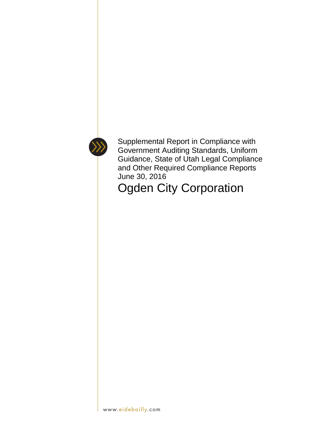

Supplemental Report in Compliance with Government Auditing Standards, Uniform Guidance, State of Utah Legal Compliance and Other Required Compliance Reports June 30, 2016

Ogden City Corporation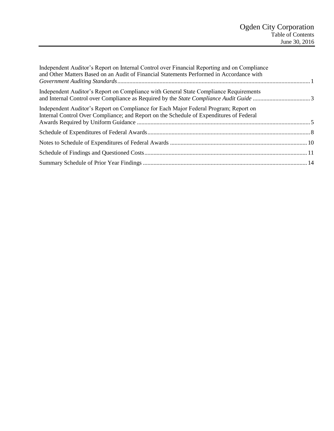| Independent Auditor's Report on Internal Control over Financial Reporting and on Compliance<br>and Other Matters Based on an Audit of Financial Statements Performed in Accordance with |  |
|-----------------------------------------------------------------------------------------------------------------------------------------------------------------------------------------|--|
| Independent Auditor's Report on Compliance with General State Compliance Requirements                                                                                                   |  |
| Independent Auditor's Report on Compliance for Each Major Federal Program; Report on<br>Internal Control Over Compliance; and Report on the Schedule of Expenditures of Federal         |  |
|                                                                                                                                                                                         |  |
|                                                                                                                                                                                         |  |
|                                                                                                                                                                                         |  |
|                                                                                                                                                                                         |  |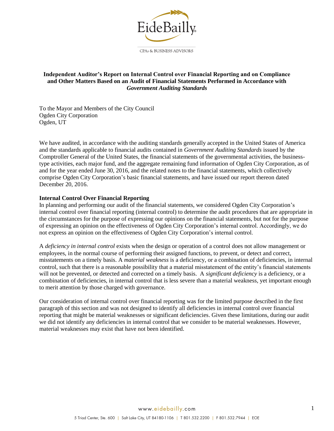

## <span id="page-2-0"></span>**Independent Auditor's Report on Internal Control over Financial Reporting and on Compliance and Other Matters Based on an Audit of Financial Statements Performed in Accordance with**  *Government Auditing Standards*

To the Mayor and Members of the City Council Ogden City Corporation Ogden, UT

We have audited, in accordance with the auditing standards generally accepted in the United States of America and the standards applicable to financial audits contained in *Government Auditing Standards* issued by the Comptroller General of the United States, the financial statements of the governmental activities, the businesstype activities, each major fund, and the aggregate remaining fund information of Ogden City Corporation, as of and for the year ended June 30, 2016, and the related notes to the financial statements, which collectively comprise Ogden City Corporation's basic financial statements, and have issued our report thereon dated December 20, 2016.

#### **Internal Control Over Financial Reporting**

In planning and performing our audit of the financial statements, we considered Ogden City Corporation's internal control over financial reporting (internal control) to determine the audit procedures that are appropriate in the circumstances for the purpose of expressing our opinions on the financial statements, but not for the purpose of expressing an opinion on the effectiveness of Ogden City Corporation's internal control. Accordingly, we do not express an opinion on the effectiveness of Ogden City Corporation's internal control.

A *deficiency in internal control* exists when the design or operation of a control does not allow management or employees, in the normal course of performing their assigned functions, to prevent, or detect and correct, misstatements on a timely basis. A *material weakness* is a deficiency, or a combination of deficiencies, in internal control, such that there is a reasonable possibility that a material misstatement of the entity's financial statements will not be prevented, or detected and corrected on a timely basis. A *significant deficiency* is a deficiency, or a combination of deficiencies, in internal control that is less severe than a material weakness, yet important enough to merit attention by those charged with governance.

Our consideration of internal control over financial reporting was for the limited purpose described in the first paragraph of this section and was not designed to identify all deficiencies in internal control over financial reporting that might be material weaknesses or significant deficiencies. Given these limitations, during our audit we did not identify any deficiencies in internal control that we consider to be material weaknesses. However, material weaknesses may exist that have not been identified.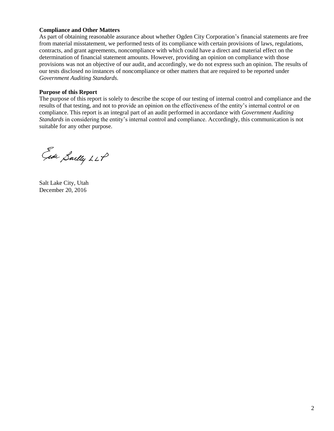## **Compliance and Other Matters**

As part of obtaining reasonable assurance about whether Ogden City Corporation's financial statements are free from material misstatement, we performed tests of its compliance with certain provisions of laws, regulations, contracts, and grant agreements, noncompliance with which could have a direct and material effect on the determination of financial statement amounts. However, providing an opinion on compliance with those provisions was not an objective of our audit, and accordingly, we do not express such an opinion. The results of our tests disclosed no instances of noncompliance or other matters that are required to be reported under *Government Auditing Standards.*

### **Purpose of this Report**

The purpose of this report is solely to describe the scope of our testing of internal control and compliance and the results of that testing, and not to provide an opinion on the effectiveness of the entity's internal control or on compliance. This report is an integral part of an audit performed in accordance with *Government Auditing Standards* in considering the entity's internal control and compliance. Accordingly, this communication is not suitable for any other purpose.

Ede Sailly LLP

Salt Lake City, Utah December 20, 2016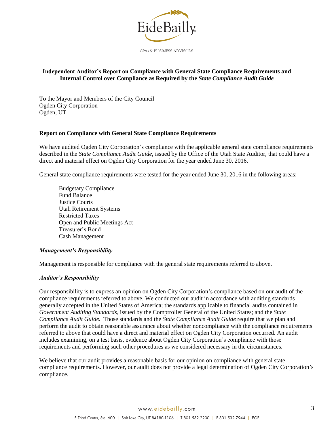

## <span id="page-4-0"></span>**Independent Auditor's Report on Compliance with General State Compliance Requirements and Internal Control over Compliance as Required by the** *State Compliance Audit Guide*

To the Mayor and Members of the City Council Ogden City Corporation Ogden, UT

### **Report on Compliance with General State Compliance Requirements**

We have audited Ogden City Corporation's compliance with the applicable general state compliance requirements described in the *State Compliance Audit Guide*, issued by the Office of the Utah State Auditor, that could have a direct and material effect on Ogden City Corporation for the year ended June 30, 2016.

General state compliance requirements were tested for the year ended June 30, 2016 in the following areas:

Budgetary Compliance Fund Balance Justice Courts Utah Retirement Systems Restricted Taxes Open and Public Meetings Act Treasurer's Bond Cash Management

#### *Management's Responsibility*

Management is responsible for compliance with the general state requirements referred to above.

#### *Auditor's Responsibility*

Our responsibility is to express an opinion on Ogden City Corporation's compliance based on our audit of the compliance requirements referred to above. We conducted our audit in accordance with auditing standards generally accepted in the United States of America; the standards applicable to financial audits contained in *Government Auditing Standards*, issued by the Comptroller General of the United States; and the *State Compliance Audit Guide*. Those standards and the *State Compliance Audit Guide* require that we plan and perform the audit to obtain reasonable assurance about whether noncompliance with the compliance requirements referred to above that could have a direct and material effect on Ogden City Corporation occurred. An audit includes examining, on a test basis, evidence about Ogden City Corporation's compliance with those requirements and performing such other procedures as we considered necessary in the circumstances.

We believe that our audit provides a reasonable basis for our opinion on compliance with general state compliance requirements. However, our audit does not provide a legal determination of Ogden City Corporation's compliance.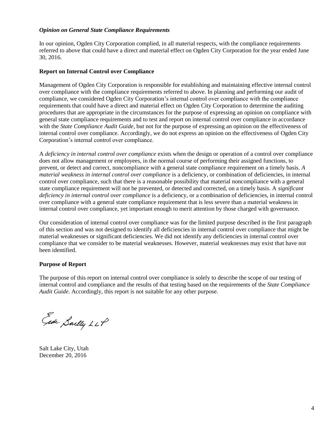## *Opinion on General State Compliance Requirements*

In our opinion, Ogden City Corporation complied, in all material respects, with the compliance requirements referred to above that could have a direct and material effect on Ogden City Corporation for the year ended June 30, 2016.

#### **Report on Internal Control over Compliance**

Management of Ogden City Corporation is responsible for establishing and maintaining effective internal control over compliance with the compliance requirements referred to above. In planning and performing our audit of compliance, we considered Ogden City Corporation's internal control over compliance with the compliance requirements that could have a direct and material effect on Ogden City Corporation to determine the auditing procedures that are appropriate in the circumstances for the purpose of expressing an opinion on compliance with general state compliance requirements and to test and report on internal control over compliance in accordance with the *State Compliance Audit Guide*, but not for the purpose of expressing an opinion on the effectiveness of internal control over compliance. Accordingly, we do not express an opinion on the effectiveness of Ogden City Corporation's internal control over compliance.

A *deficiency in internal control over compliance* exists when the design or operation of a control over compliance does not allow management or employees, in the normal course of performing their assigned functions, to prevent, or detect and correct, noncompliance with a general state compliance requirement on a timely basis. *A material weakness in internal control over compliance* is a deficiency, or combination of deficiencies, in internal control over compliance, such that there is a reasonable possibility that material noncompliance with a general state compliance requirement will not be prevented, or detected and corrected, on a timely basis. A *significant deficiency in internal control over compliance* is a deficiency, or a combination of deficiencies, in internal control over compliance with a general state compliance requirement that is less severe than a material weakness in internal control over compliance, yet important enough to merit attention by those charged with governance.

Our consideration of internal control over compliance was for the limited purpose described in the first paragraph of this section and was not designed to identify all deficiencies in internal control over compliance that might be material weaknesses or significant deficiencies. We did not identify any deficiencies in internal control over compliance that we consider to be material weaknesses. However, material weaknesses may exist that have not been identified.

#### **Purpose of Report**

The purpose of this report on internal control over compliance is solely to describe the scope of our testing of internal control and compliance and the results of that testing based on the requirements of the *State Compliance Audit Guide*. Accordingly, this report is not suitable for any other purpose.

Gide Sailly LLP

Salt Lake City, Utah December 20, 2016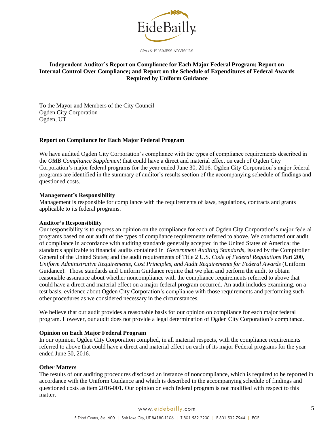

## <span id="page-6-0"></span>**Independent Auditor's Report on Compliance for Each Major Federal Program; Report on Internal Control Over Compliance; and Report on the Schedule of Expenditures of Federal Awards Required by Uniform Guidance**

To the Mayor and Members of the City Council Ogden City Corporation Ogden, UT

#### **Report on Compliance for Each Major Federal Program**

We have audited Ogden City Corporation's compliance with the types of compliance requirements described in the *OMB Compliance Supplement* that could have a direct and material effect on each of Ogden City Corporation's major federal programs for the year ended June 30, 2016. Ogden City Corporation's major federal programs are identified in the summary of auditor's results section of the accompanying schedule of findings and questioned costs.

#### **Management's Responsibility**

Management is responsible for compliance with the requirements of laws, regulations, contracts and grants applicable to its federal programs.

#### **Auditor's Responsibility**

Our responsibility is to express an opinion on the compliance for each of Ogden City Corporation's major federal programs based on our audit of the types of compliance requirements referred to above. We conducted our audit of compliance in accordance with auditing standards generally accepted in the United States of America; the standards applicable to financial audits contained in *Government Auditing Standards*, issued by the Comptroller General of the United States; and the audit requirements of Title 2 U.S. *Code of Federal Regulations* Part 200, *Uniform Administrative Requirements, Cost Principles, and Audit Requirements for Federal Awards* (Uniform Guidance). Those standards and Uniform Guidance require that we plan and perform the audit to obtain reasonable assurance about whether noncompliance with the compliance requirements referred to above that could have a direct and material effect on a major federal program occurred. An audit includes examining, on a test basis, evidence about Ogden City Corporation's compliance with those requirements and performing such other procedures as we considered necessary in the circumstances.

We believe that our audit provides a reasonable basis for our opinion on compliance for each major federal program. However, our audit does not provide a legal determination of Ogden City Corporation's compliance.

#### **Opinion on Each Major Federal Program**

In our opinion, Ogden City Corporation complied, in all material respects, with the compliance requirements referred to above that could have a direct and material effect on each of its major Federal programs for the year ended June 30, 2016.

#### **Other Matters**

The results of our auditing procedures disclosed an instance of noncompliance, which is required to be reported in accordance with the Uniform Guidance and which is described in the accompanying schedule of findings and questioned costs as item 2016-001. Our opinion on each federal program is not modified with respect to this matter.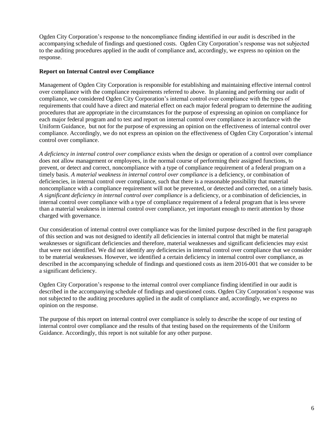Ogden City Corporation's response to the noncompliance finding identified in our audit is described in the accompanying schedule of findings and questioned costs*.* Ogden City Corporation's response was not subjected to the auditing procedures applied in the audit of compliance and, accordingly, we express no opinion on the response.

## **Report on Internal Control over Compliance**

Management of Ogden City Corporation is responsible for establishing and maintaining effective internal control over compliance with the compliance requirements referred to above. In planning and performing our audit of compliance, we considered Ogden City Corporation's internal control over compliance with the types of requirements that could have a direct and material effect on each major federal program to determine the auditing procedures that are appropriate in the circumstances for the purpose of expressing an opinion on compliance for each major federal program and to test and report on internal control over compliance in accordance with the Uniform Guidance, but not for the purpose of expressing an opinion on the effectiveness of internal control over compliance. Accordingly, we do not express an opinion on the effectiveness of Ogden City Corporation's internal control over compliance.

*A deficiency in internal control over compliance* exists when the design or operation of a control over compliance does not allow management or employees, in the normal course of performing their assigned functions, to prevent, or detect and correct, noncompliance with a type of compliance requirement of a federal program on a timely basis. *A material weakness in internal control over compliance* is a deficiency, or combination of deficiencies, in internal control over compliance, such that there is a reasonable possibility that material noncompliance with a compliance requirement will not be prevented, or detected and corrected, on a timely basis. *A significant deficiency in internal control over compliance* is a deficiency, or a combination of deficiencies, in internal control over compliance with a type of compliance requirement of a federal program that is less severe than a material weakness in internal control over compliance, yet important enough to merit attention by those charged with governance.

Our consideration of internal control over compliance was for the limited purpose described in the first paragraph of this section and was not designed to identify all deficiencies in internal control that might be material weaknesses or significant deficiencies and therefore, material weaknesses and significant deficiencies may exist that were not identified. We did not identify any deficiencies in internal control over compliance that we consider to be material weaknesses. However, we identified a certain deficiency in internal control over compliance, as described in the accompanying schedule of findings and questioned costs as item 2016-001 that we consider to be a significant deficiency.

Ogden City Corporation's response to the internal control over compliance finding identified in our audit is described in the accompanying schedule of findings and questioned costs. Ogden City Corporation's response was not subjected to the auditing procedures applied in the audit of compliance and, accordingly, we express no opinion on the response.

The purpose of this report on internal control over compliance is solely to describe the scope of our testing of internal control over compliance and the results of that testing based on the requirements of the Uniform Guidance. Accordingly, this report is not suitable for any other purpose.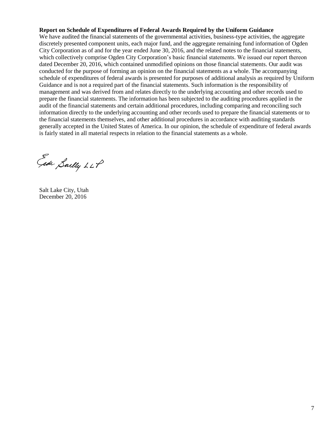## **Report on Schedule of Expenditures of Federal Awards Required by the Uniform Guidance**

We have audited the financial statements of the governmental activities, business-type activities, the aggregate discretely presented component units, each major fund, and the aggregate remaining fund information of Ogden City Corporation as of and for the year ended June 30, 2016, and the related notes to the financial statements, which collectively comprise Ogden City Corporation's basic financial statements. We issued our report thereon dated December 20, 2016, which contained unmodified opinions on those financial statements. Our audit was conducted for the purpose of forming an opinion on the financial statements as a whole. The accompanying schedule of expenditures of federal awards is presented for purposes of additional analysis as required by Uniform Guidance and is not a required part of the financial statements. Such information is the responsibility of management and was derived from and relates directly to the underlying accounting and other records used to prepare the financial statements. The information has been subjected to the auditing procedures applied in the audit of the financial statements and certain additional procedures, including comparing and reconciling such information directly to the underlying accounting and other records used to prepare the financial statements or to the financial statements themselves, and other additional procedures in accordance with auditing standards generally accepted in the United States of America. In our opinion, the schedule of expenditure of federal awards is fairly stated in all material respects in relation to the financial statements as a whole.

Eade Sailly LLP

Salt Lake City, Utah December 20, 2016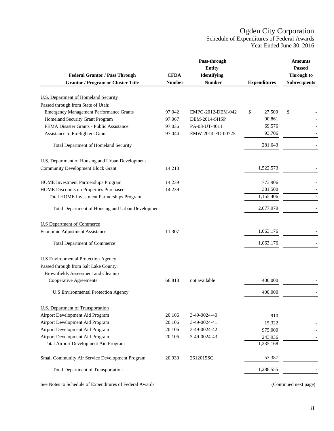# Ogden City Corporation Schedule of Expenditures of Federal Awards Year Ended June 30, 2016

<span id="page-9-0"></span>

|                                                         |               | Pass-through<br><b>Entity</b> |                      | <b>Amounts</b><br><b>Passed</b> |
|---------------------------------------------------------|---------------|-------------------------------|----------------------|---------------------------------|
| <b>Federal Grantor / Pass Through</b>                   | <b>CFDA</b>   | Identifying                   |                      | <b>Through to</b>               |
| <b>Grantor / Program or Cluster Title</b>               | <b>Number</b> | <b>Number</b>                 | <b>Expenditures</b>  | <b>Subrecipients</b>            |
| <b>U.S. Department of Homeland Security</b>             |               |                               |                      |                                 |
| Passed through from State of Utah:                      |               |                               |                      |                                 |
| <b>Emergency Management Performance Grants</b>          | 97.042        | EMPG-2012-DEM-042             | 27,500<br>\$         | \$                              |
| Homeland Security Grant Program                         | 97.067        | DEM-2014-SHSP                 | 90,861               |                                 |
| FEMA Disaster Grants - Public Assistance                | 97.036        | PA-08-UT-4011                 | 69,576               |                                 |
| Assistance to Firefighters Grant                        | 97.044        | EMW-2014-FO-00725             | 93,706               |                                 |
|                                                         |               |                               |                      |                                 |
| Total Department of Homeland Security                   |               |                               | 281,643              |                                 |
| U.S. Department of Housing and Urban Development        |               |                               |                      |                                 |
| <b>Community Development Block Grant</b>                | 14.218        |                               | 1,522,573            |                                 |
|                                                         |               |                               |                      |                                 |
| HOME Investment Partnerships Program                    | 14.239        |                               | 773,906              |                                 |
| <b>HOME Discounts on Properties Purchased</b>           | 14.239        |                               | 381,500<br>1,155,406 |                                 |
| <b>Total HOME Investment Partnerships Program</b>       |               |                               |                      |                                 |
| Total Department of Housing and Urban Development       |               |                               | 2,677,979            |                                 |
| <b>U.S Department of Commerce</b>                       |               |                               |                      |                                 |
| Economic Adjustment Assistance                          | 11.307        |                               | 1,063,176            |                                 |
| <b>Total Department of Commerce</b>                     |               |                               | 1,063,176            |                                 |
|                                                         |               |                               |                      |                                 |
| <b>U.S Environmental Protection Agency</b>              |               |                               |                      |                                 |
| Passed through from Salt Lake County:                   |               |                               |                      |                                 |
| <b>Brownfields Assessment and Cleanup</b>               |               |                               |                      |                                 |
| Cooperative Agreements                                  | 66.818        | not available                 | 400,000              |                                 |
| <b>U.S Environmental Protection Agency</b>              |               |                               | 400,000              |                                 |
| <b>U.S. Department of Transportation</b>                |               |                               |                      |                                 |
| Airport Development Aid Program                         | 20.106        | 3-49-0024-40                  | 910                  |                                 |
| Airport Development Aid Program                         | 20.106        | 3-49-0024-41                  | 15,322               |                                 |
| Airport Development Aid Program                         | 20.106        | 3-49-0024-42                  | 975,000              |                                 |
| Airport Development Aid Program                         | 20.106        | 3-49-0024-43                  | 243,936              |                                 |
| Total Airport Development Aid Program                   |               |                               | 1,235,168            |                                 |
| Small Community Air Service Development Program         | 20.930        | 2612015SC                     | 53,387               |                                 |
| Total Department of Transportation                      |               |                               | 1,288,555            |                                 |
| See Notes to Schedule of Expenditures of Federal Awards |               |                               |                      | (Continued next page)           |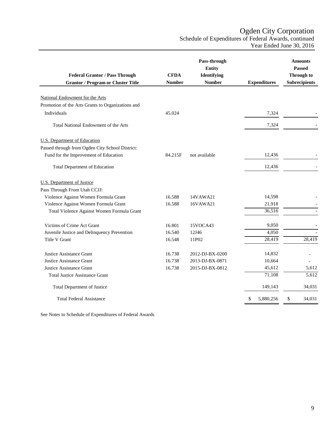Ogden City Corporation

Schedule of Expenditures of Federal Awards, continued Year Ended June 30, 2016

|                                                   |               | Pass-through<br><b>Entity</b> |                     | <b>Amounts</b><br><b>Passed</b> |
|---------------------------------------------------|---------------|-------------------------------|---------------------|---------------------------------|
| <b>Federal Grantor / Pass Through</b>             | <b>CFDA</b>   | Identifying                   |                     | <b>Through to</b>               |
| <b>Grantor / Program or Cluster Title</b>         | <b>Number</b> | <b>Number</b>                 | <b>Expenditures</b> | <b>Subrecipients</b>            |
| National Endowment for the Arts                   |               |                               |                     |                                 |
| Promotion of the Arts Grants to Organizations and |               |                               |                     |                                 |
| Individuals                                       | 45.024        |                               | 7,324               |                                 |
| Total National Endowment of the Arts              |               |                               | 7,324               |                                 |
| <b>U.S.</b> Department of Education               |               |                               |                     |                                 |
| Passed through from Ogden City School District:   |               |                               |                     |                                 |
| Fund for the Improvement of Education             | 84.215F       | not available                 | 12,436              |                                 |
| <b>Total Department of Education</b>              |               |                               | 12,436              |                                 |
| <b>U.S.</b> Department of Justice                 |               |                               |                     |                                 |
| Pass Through From Utah CCJJ:                      |               |                               |                     |                                 |
| Violence Against Women Formula Grant              | 16.588        | 14VAWA21                      | 14,598              |                                 |
| Violence Against Women Formula Grant              | 16.588        | 16VAWA21                      | 21,918              |                                 |
| Total Violence Against Women Formula Grant        |               |                               | 36,516              |                                 |
| Victims of Crime Act Grant                        | 16.801        | 15VOCA43                      | 9,050               |                                 |
| Juvenile Justice and Delinquency Prevention       | 16.540        | 12J46                         | 4,050               |                                 |
| Title V Grant                                     | 16.548        | 11P02                         | 28,419              | 28,419                          |
| Justice Assistance Grant                          | 16.738        | 2012-DJ-BX-0200               | 14,832              |                                 |
| Justice Assistance Grant                          | 16.738        | 2013-DJ-BX-0871               | 10,664              | $\overline{a}$                  |
| Justice Assistance Grant                          | 16.738        | 2015-DJ-BX-0812               | 45,612              | 5,612                           |
| <b>Total Justice Assistance Grant</b>             |               |                               | 71,108              | 5,612                           |
| Total Department of Justice                       |               |                               | 149,143             | 34,031                          |
| <b>Total Federal Assistance</b>                   |               |                               | \$<br>5,880,256     | \$<br>34,031                    |

See Notes to Schedule of Expenditures of Federal Awards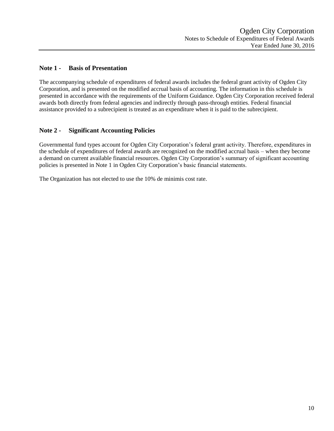## <span id="page-11-0"></span>**Note 1 - Basis of Presentation**

The accompanying schedule of expenditures of federal awards includes the federal grant activity of Ogden City Corporation, and is presented on the modified accrual basis of accounting. The information in this schedule is presented in accordance with the requirements of the Uniform Guidance. Ogden City Corporation received federal awards both directly from federal agencies and indirectly through pass-through entities. Federal financial assistance provided to a subrecipient is treated as an expenditure when it is paid to the subrecipient.

# **Note 2 - Significant Accounting Policies**

Governmental fund types account for Ogden City Corporation's federal grant activity. Therefore, expenditures in the schedule of expenditures of federal awards are recognized on the modified accrual basis – when they become a demand on current available financial resources. Ogden City Corporation's summary of significant accounting policies is presented in Note 1 in Ogden City Corporation's basic financial statements.

The Organization has not elected to use the 10% de minimis cost rate.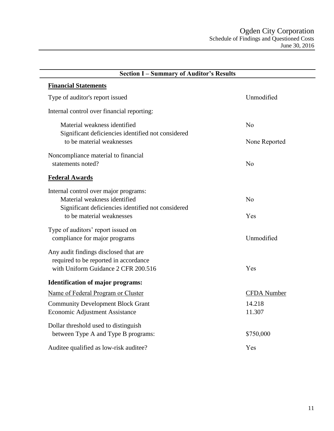<span id="page-12-0"></span>

| <b>Section I-Summary of Auditor's Results</b>                                   |                    |  |  |  |  |
|---------------------------------------------------------------------------------|--------------------|--|--|--|--|
| <b>Financial Statements</b>                                                     |                    |  |  |  |  |
| Type of auditor's report issued                                                 | Unmodified         |  |  |  |  |
| Internal control over financial reporting:                                      |                    |  |  |  |  |
| Material weakness identified                                                    | No                 |  |  |  |  |
| Significant deficiencies identified not considered<br>to be material weaknesses | None Reported      |  |  |  |  |
| Noncompliance material to financial                                             |                    |  |  |  |  |
| statements noted?                                                               | No                 |  |  |  |  |
| <b>Federal Awards</b>                                                           |                    |  |  |  |  |
| Internal control over major programs:                                           |                    |  |  |  |  |
| Material weakness identified                                                    | N <sub>o</sub>     |  |  |  |  |
| Significant deficiencies identified not considered<br>to be material weaknesses | Yes                |  |  |  |  |
| Type of auditors' report issued on                                              |                    |  |  |  |  |
| compliance for major programs                                                   | Unmodified         |  |  |  |  |
| Any audit findings disclosed that are                                           |                    |  |  |  |  |
| required to be reported in accordance                                           |                    |  |  |  |  |
| with Uniform Guidance 2 CFR 200.516                                             | Yes                |  |  |  |  |
| <b>Identification of major programs:</b>                                        |                    |  |  |  |  |
| Name of Federal Program or Cluster                                              | <b>CFDA</b> Number |  |  |  |  |
| <b>Community Development Block Grant</b>                                        | 14.218             |  |  |  |  |
| <b>Economic Adjustment Assistance</b>                                           | 11.307             |  |  |  |  |
| Dollar threshold used to distinguish                                            |                    |  |  |  |  |
| between Type A and Type B programs:                                             | \$750,000          |  |  |  |  |
| Auditee qualified as low-risk auditee?                                          | Yes                |  |  |  |  |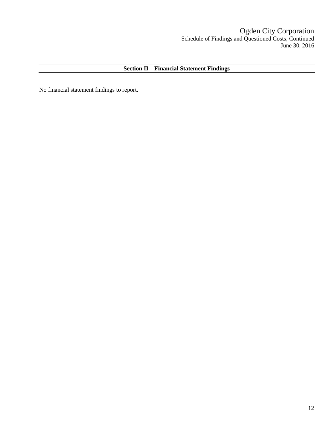# **Section II – Financial Statement Findings**

No financial statement findings to report.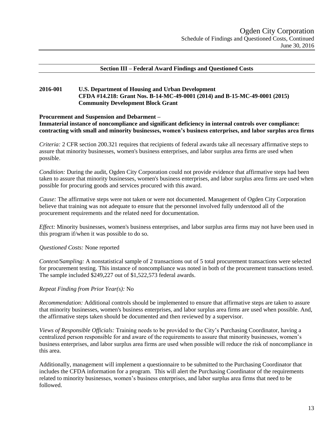### **Section III – Federal Award Findings and Questioned Costs**

### **2016-001 U.S. Department of Housing and Urban Development CFDA #14.218: Grant Nos. B-14-MC-49-0001 (2014) and B-15-MC-49-0001 (2015) Community Development Block Grant**

#### **Procurement and Suspension and Debarment –**

**Immaterial instance of noncompliance and significant deficiency in internal controls over compliance: contracting with small and minority businesses, women's business enterprises, and labor surplus area firms**

*Criteria:* 2 CFR section 200.321 requires that recipients of federal awards take all necessary affirmative steps to assure that minority businesses, women's business enterprises, and labor surplus area firms are used when possible.

*Condition:* During the audit, Ogden City Corporation could not provide evidence that affirmative steps had been taken to assure that minority businesses, women's business enterprises, and labor surplus area firms are used when possible for procuring goods and services procured with this award.

*Cause:* The affirmative steps were not taken or were not documented. Management of Ogden City Corporation believe that training was not adequate to ensure that the personnel involved fully understood all of the procurement requirements and the related need for documentation.

*Effect:* Minority businesses, women's business enterprises, and labor surplus area firms may not have been used in this program if/when it was possible to do so.

### *Questioned Costs:* None reported

*Context/Sampling:* A nonstatistical sample of 2 transactions out of 5 total procurement transactions were selected for procurement testing. This instance of noncompliance was noted in both of the procurement transactions tested. The sample included \$249,227 out of \$1,522,573 federal awards.

#### *Repeat Finding from Prior Year(s):* No

*Recommendation:* Additional controls should be implemented to ensure that affirmative steps are taken to assure that minority businesses, women's business enterprises, and labor surplus area firms are used when possible. And, the affirmative steps taken should be documented and then reviewed by a supervisor.

*Views of Responsible Officials:* Training needs to be provided to the City's Purchasing Coordinator, having a centralized person responsible for and aware of the requirements to assure that minority businesses, women's business enterprises, and labor surplus area firms are used when possible will reduce the risk of noncompliance in this area.

Additionally, management will implement a questionnaire to be submitted to the Purchasing Coordinator that includes the CFDA information for a program. This will alert the Purchasing Coordinator of the requirements related to minority businesses, women's business enterprises, and labor surplus area firms that need to be followed.